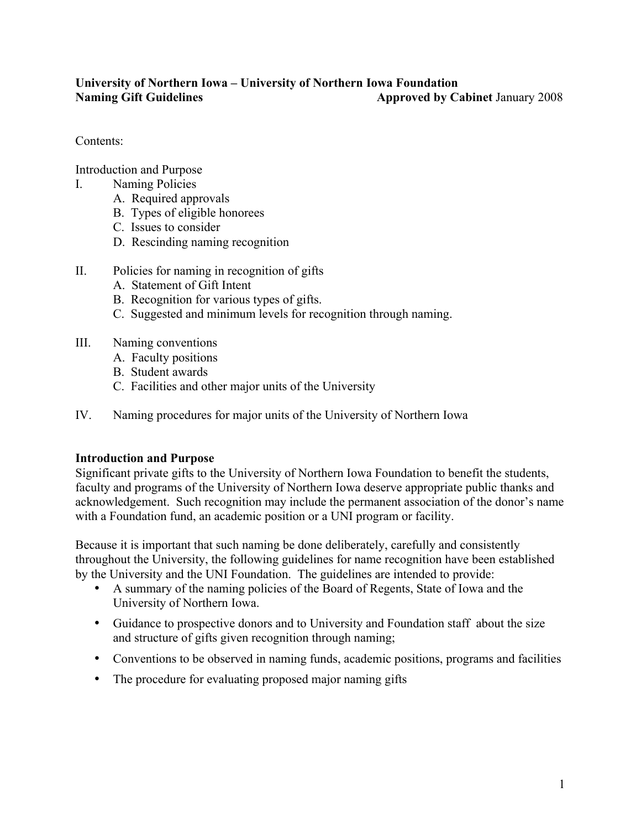### **University of Northern Iowa – University of Northern Iowa Foundation Naming Gift Guidelines Approved by Cabinet January 2008**

Contents:

Introduction and Purpose

- I. Naming Policies
	- A. Required approvals
	- B. Types of eligible honorees
	- C. Issues to consider
	- D. Rescinding naming recognition
- II. Policies for naming in recognition of gifts
	- A. Statement of Gift Intent
	- B. Recognition for various types of gifts.
	- C. Suggested and minimum levels for recognition through naming.
- III. Naming conventions
	- A. Faculty positions
	- B. Student awards
	- C. Facilities and other major units of the University
- IV. Naming procedures for major units of the University of Northern Iowa

#### **Introduction and Purpose**

Significant private gifts to the University of Northern Iowa Foundation to benefit the students, faculty and programs of the University of Northern Iowa deserve appropriate public thanks and acknowledgement. Such recognition may include the permanent association of the donor's name with a Foundation fund, an academic position or a UNI program or facility.

Because it is important that such naming be done deliberately, carefully and consistently throughout the University, the following guidelines for name recognition have been established by the University and the UNI Foundation. The guidelines are intended to provide:

- A summary of the naming policies of the Board of Regents, State of Iowa and the University of Northern Iowa.
- Guidance to prospective donors and to University and Foundation staff about the size and structure of gifts given recognition through naming;
- Conventions to be observed in naming funds, academic positions, programs and facilities
- The procedure for evaluating proposed major naming gifts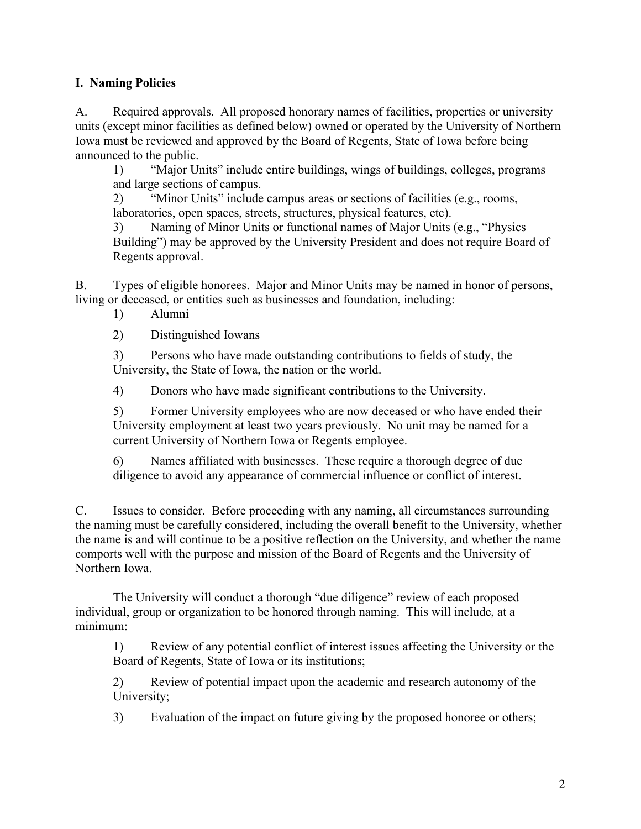### **I. Naming Policies**

A. Required approvals. All proposed honorary names of facilities, properties or university units (except minor facilities as defined below) owned or operated by the University of Northern Iowa must be reviewed and approved by the Board of Regents, State of Iowa before being announced to the public.

1) "Major Units" include entire buildings, wings of buildings, colleges, programs and large sections of campus.

2) "Minor Units" include campus areas or sections of facilities (e.g., rooms, laboratories, open spaces, streets, structures, physical features, etc).

3) Naming of Minor Units or functional names of Major Units (e.g., "Physics Building") may be approved by the University President and does not require Board of Regents approval.

B. Types of eligible honorees. Major and Minor Units may be named in honor of persons, living or deceased, or entities such as businesses and foundation, including:

1) Alumni

2) Distinguished Iowans

3) Persons who have made outstanding contributions to fields of study, the University, the State of Iowa, the nation or the world.

4) Donors who have made significant contributions to the University.

5) Former University employees who are now deceased or who have ended their University employment at least two years previously. No unit may be named for a current University of Northern Iowa or Regents employee.

6) Names affiliated with businesses. These require a thorough degree of due diligence to avoid any appearance of commercial influence or conflict of interest.

C. Issues to consider. Before proceeding with any naming, all circumstances surrounding the naming must be carefully considered, including the overall benefit to the University, whether the name is and will continue to be a positive reflection on the University, and whether the name comports well with the purpose and mission of the Board of Regents and the University of Northern Iowa.

The University will conduct a thorough "due diligence" review of each proposed individual, group or organization to be honored through naming. This will include, at a minimum:

1) Review of any potential conflict of interest issues affecting the University or the Board of Regents, State of Iowa or its institutions;

2) Review of potential impact upon the academic and research autonomy of the University;

3) Evaluation of the impact on future giving by the proposed honoree or others;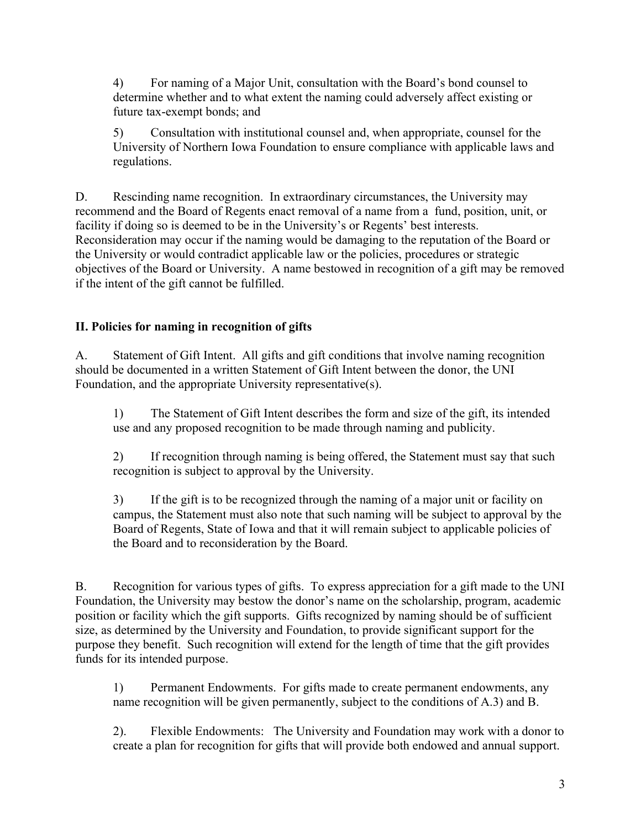4) For naming of a Major Unit, consultation with the Board's bond counsel to determine whether and to what extent the naming could adversely affect existing or future tax-exempt bonds; and

5) Consultation with institutional counsel and, when appropriate, counsel for the University of Northern Iowa Foundation to ensure compliance with applicable laws and regulations.

D. Rescinding name recognition. In extraordinary circumstances, the University may recommend and the Board of Regents enact removal of a name from a fund, position, unit, or facility if doing so is deemed to be in the University's or Regents' best interests. Reconsideration may occur if the naming would be damaging to the reputation of the Board or the University or would contradict applicable law or the policies, procedures or strategic objectives of the Board or University. A name bestowed in recognition of a gift may be removed if the intent of the gift cannot be fulfilled.

# **II. Policies for naming in recognition of gifts**

A. Statement of Gift Intent. All gifts and gift conditions that involve naming recognition should be documented in a written Statement of Gift Intent between the donor, the UNI Foundation, and the appropriate University representative(s).

1) The Statement of Gift Intent describes the form and size of the gift, its intended use and any proposed recognition to be made through naming and publicity.

2) If recognition through naming is being offered, the Statement must say that such recognition is subject to approval by the University.

3) If the gift is to be recognized through the naming of a major unit or facility on campus, the Statement must also note that such naming will be subject to approval by the Board of Regents, State of Iowa and that it will remain subject to applicable policies of the Board and to reconsideration by the Board.

B. Recognition for various types of gifts. To express appreciation for a gift made to the UNI Foundation, the University may bestow the donor's name on the scholarship, program, academic position or facility which the gift supports. Gifts recognized by naming should be of sufficient size, as determined by the University and Foundation, to provide significant support for the purpose they benefit. Such recognition will extend for the length of time that the gift provides funds for its intended purpose.

1) Permanent Endowments. For gifts made to create permanent endowments, any name recognition will be given permanently, subject to the conditions of A.3) and B.

2). Flexible Endowments: The University and Foundation may work with a donor to create a plan for recognition for gifts that will provide both endowed and annual support.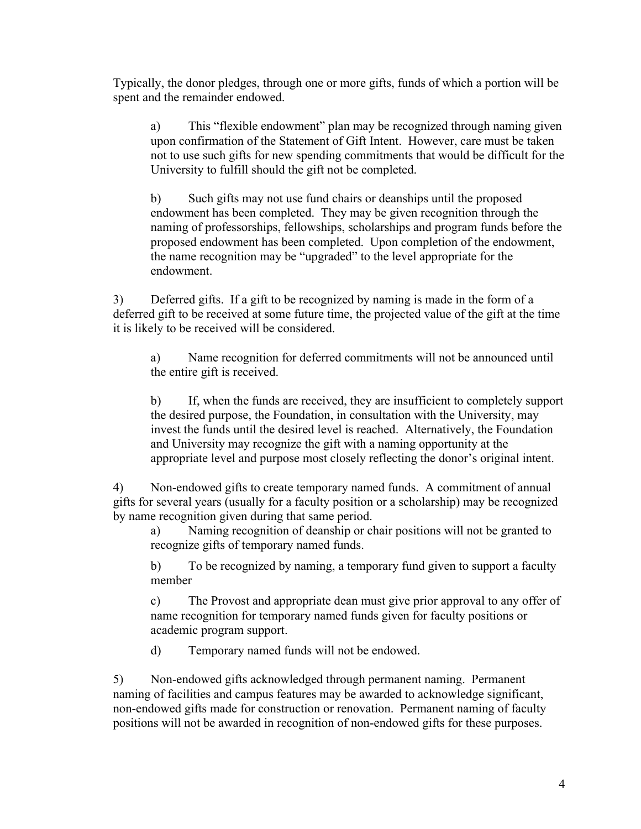Typically, the donor pledges, through one or more gifts, funds of which a portion will be spent and the remainder endowed.

a) This "flexible endowment" plan may be recognized through naming given upon confirmation of the Statement of Gift Intent. However, care must be taken not to use such gifts for new spending commitments that would be difficult for the University to fulfill should the gift not be completed.

b) Such gifts may not use fund chairs or deanships until the proposed endowment has been completed. They may be given recognition through the naming of professorships, fellowships, scholarships and program funds before the proposed endowment has been completed. Upon completion of the endowment, the name recognition may be "upgraded" to the level appropriate for the endowment.

3) Deferred gifts. If a gift to be recognized by naming is made in the form of a deferred gift to be received at some future time, the projected value of the gift at the time it is likely to be received will be considered.

a) Name recognition for deferred commitments will not be announced until the entire gift is received.

b) If, when the funds are received, they are insufficient to completely support the desired purpose, the Foundation, in consultation with the University, may invest the funds until the desired level is reached. Alternatively, the Foundation and University may recognize the gift with a naming opportunity at the appropriate level and purpose most closely reflecting the donor's original intent.

4) Non-endowed gifts to create temporary named funds. A commitment of annual gifts for several years (usually for a faculty position or a scholarship) may be recognized by name recognition given during that same period.

a) Naming recognition of deanship or chair positions will not be granted to recognize gifts of temporary named funds.

b) To be recognized by naming, a temporary fund given to support a faculty member

c) The Provost and appropriate dean must give prior approval to any offer of name recognition for temporary named funds given for faculty positions or academic program support.

d) Temporary named funds will not be endowed.

5) Non-endowed gifts acknowledged through permanent naming. Permanent naming of facilities and campus features may be awarded to acknowledge significant, non-endowed gifts made for construction or renovation. Permanent naming of faculty positions will not be awarded in recognition of non-endowed gifts for these purposes.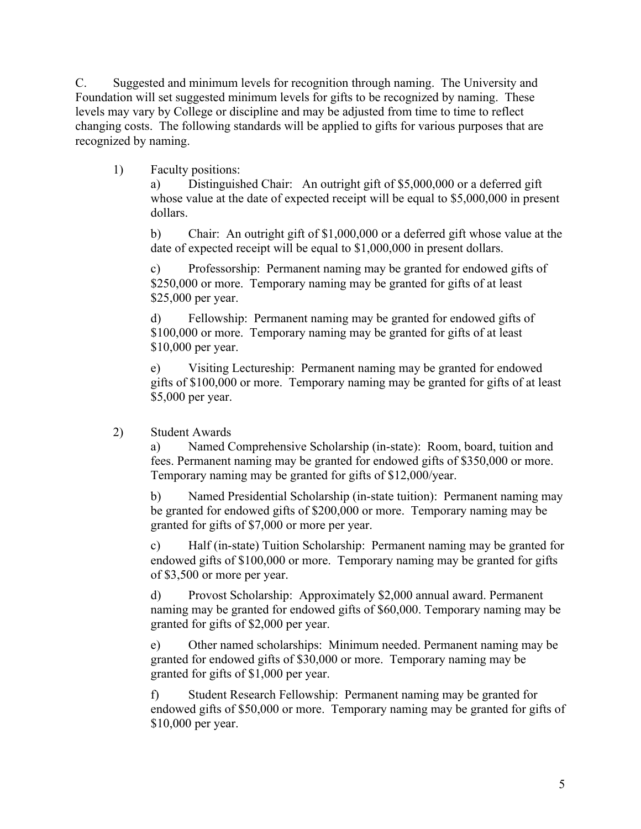C. Suggested and minimum levels for recognition through naming. The University and Foundation will set suggested minimum levels for gifts to be recognized by naming. These levels may vary by College or discipline and may be adjusted from time to time to reflect changing costs. The following standards will be applied to gifts for various purposes that are recognized by naming.

1) Faculty positions:

a) Distinguished Chair: An outright gift of \$5,000,000 or a deferred gift whose value at the date of expected receipt will be equal to \$5,000,000 in present dollars.

b) Chair: An outright gift of \$1,000,000 or a deferred gift whose value at the date of expected receipt will be equal to \$1,000,000 in present dollars.

c) Professorship: Permanent naming may be granted for endowed gifts of \$250,000 or more. Temporary naming may be granted for gifts of at least \$25,000 per year.

d) Fellowship: Permanent naming may be granted for endowed gifts of \$100,000 or more. Temporary naming may be granted for gifts of at least \$10,000 per year.

e) Visiting Lectureship: Permanent naming may be granted for endowed gifts of \$100,000 or more. Temporary naming may be granted for gifts of at least \$5,000 per year.

2) Student Awards

a) Named Comprehensive Scholarship (in-state): Room, board, tuition and fees. Permanent naming may be granted for endowed gifts of \$350,000 or more. Temporary naming may be granted for gifts of \$12,000/year.

b) Named Presidential Scholarship (in-state tuition): Permanent naming may be granted for endowed gifts of \$200,000 or more. Temporary naming may be granted for gifts of \$7,000 or more per year.

c) Half (in-state) Tuition Scholarship: Permanent naming may be granted for endowed gifts of \$100,000 or more. Temporary naming may be granted for gifts of \$3,500 or more per year.

d) Provost Scholarship: Approximately \$2,000 annual award. Permanent naming may be granted for endowed gifts of \$60,000. Temporary naming may be granted for gifts of \$2,000 per year.

e) Other named scholarships: Minimum needed. Permanent naming may be granted for endowed gifts of \$30,000 or more. Temporary naming may be granted for gifts of \$1,000 per year.

f) Student Research Fellowship: Permanent naming may be granted for endowed gifts of \$50,000 or more. Temporary naming may be granted for gifts of \$10,000 per year.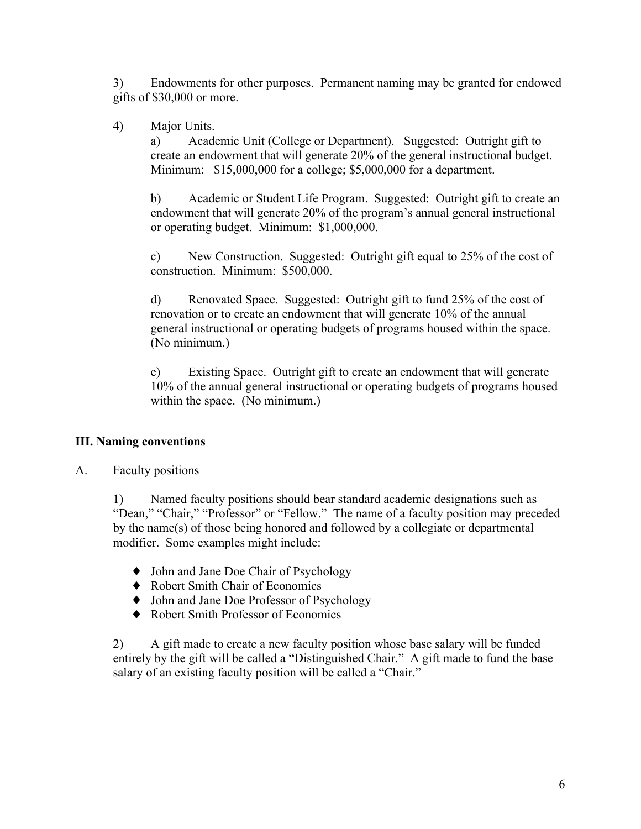3) Endowments for other purposes. Permanent naming may be granted for endowed gifts of \$30,000 or more.

4) Major Units.

a) Academic Unit (College or Department). Suggested: Outright gift to create an endowment that will generate 20% of the general instructional budget. Minimum: \$15,000,000 for a college; \$5,000,000 for a department.

b) Academic or Student Life Program. Suggested: Outright gift to create an endowment that will generate 20% of the program's annual general instructional or operating budget. Minimum: \$1,000,000.

c) New Construction. Suggested: Outright gift equal to 25% of the cost of construction. Minimum: \$500,000.

d) Renovated Space. Suggested: Outright gift to fund 25% of the cost of renovation or to create an endowment that will generate 10% of the annual general instructional or operating budgets of programs housed within the space. (No minimum.)

e) Existing Space. Outright gift to create an endowment that will generate 10% of the annual general instructional or operating budgets of programs housed within the space. (No minimum.)

# **III. Naming conventions**

A. Faculty positions

1) Named faculty positions should bear standard academic designations such as "Dean," "Chair," "Professor" or "Fellow." The name of a faculty position may preceded by the name(s) of those being honored and followed by a collegiate or departmental modifier. Some examples might include:

- ♦ John and Jane Doe Chair of Psychology
- ♦ Robert Smith Chair of Economics
- ♦ John and Jane Doe Professor of Psychology
- ♦ Robert Smith Professor of Economics

2) A gift made to create a new faculty position whose base salary will be funded entirely by the gift will be called a "Distinguished Chair." A gift made to fund the base salary of an existing faculty position will be called a "Chair."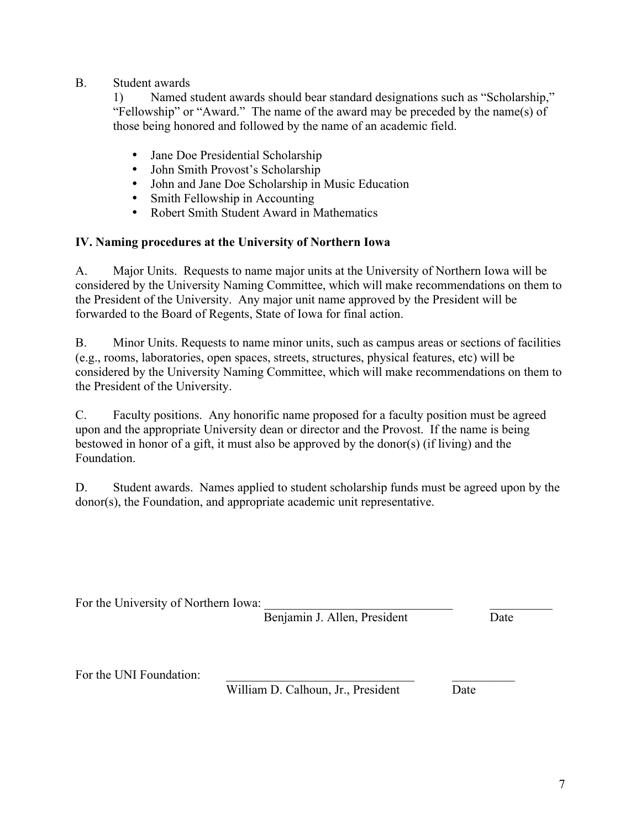### B. Student awards

1) Named student awards should bear standard designations such as "Scholarship," "Fellowship" or "Award." The name of the award may be preceded by the name(s) of those being honored and followed by the name of an academic field.

- Jane Doe Presidential Scholarship<br>• Iohn Smith Provost's Scholarship
- John Smith Provost's Scholarship<br>• John and Jane Doe Scholarship in
- John and Jane Doe Scholarship in Music Education<br>• Smith Fellowship in Accounting
- Smith Fellowship in Accounting<br>• Robert Smith Student Award in N
- Robert Smith Student Award in Mathematics

### **IV. Naming procedures at the University of Northern Iowa**

A. Major Units. Requests to name major units at the University of Northern Iowa will be considered by the University Naming Committee, which will make recommendations on them to the President of the University. Any major unit name approved by the President will be forwarded to the Board of Regents, State of Iowa for final action.

B. Minor Units. Requests to name minor units, such as campus areas or sections of facilities (e.g., rooms, laboratories, open spaces, streets, structures, physical features, etc) will be considered by the University Naming Committee, which will make recommendations on them to the President of the University.

C. Faculty positions. Any honorific name proposed for a faculty position must be agreed upon and the appropriate University dean or director and the Provost. If the name is being bestowed in honor of a gift, it must also be approved by the donor(s) (if living) and the Foundation.

D. Student awards. Names applied to student scholarship funds must be agreed upon by the donor(s), the Foundation, and appropriate academic unit representative.

For the University of Northern Iowa:

Benjamin J. Allen, President Date

For the UNI Foundation:

William D. Calhoun, Jr., President Date